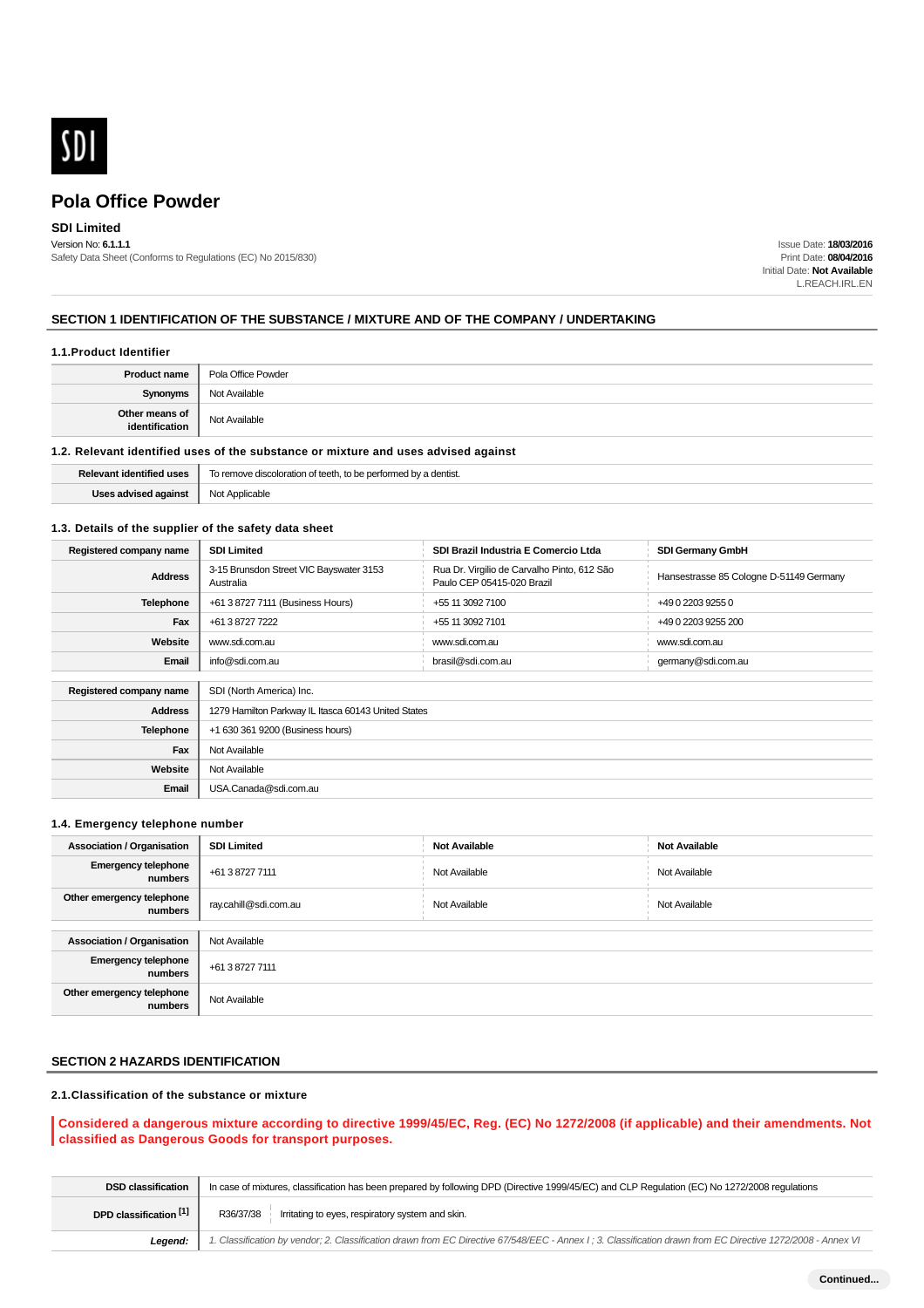

# **SDI Limited**

Version No: **6.1.1.1** Safety Data Sheet (Conforms to Regulations (EC) No 2015/830)

Issue Date: **18/03/2016** Print Date: **08/04/2016** Initial Date: **Not Available** L.REACH.IRL.EN

# **SECTION 1 IDENTIFICATION OF THE SUBSTANCE / MIXTURE AND OF THE COMPANY / UNDERTAKING**

#### **1.1.Product Identifier**

| <b>Product name</b>              | Pola Office Powder |  |
|----------------------------------|--------------------|--|
| <b>Synonyms</b>                  | Not Available      |  |
| Other means of<br>identification | Not Available      |  |

# **1.2. Relevant identified uses of the substance or mixture and uses advised against**

| Relevant identified uses          | To remove discoloration of teeth, to be performed by a dentist.<br>. |  |  |
|-----------------------------------|----------------------------------------------------------------------|--|--|
| s advised against<br>lege adviser | Applicable<br>Not<br>$\sim$ $\sim$                                   |  |  |

#### **1.3. Details of the supplier of the safety data sheet**

| Registered company name | <b>SDI Limited</b>                                   | SDI Brazil Industria E Comercio Ltda                                      | <b>SDI Germany GmbH</b>                 |  |  |
|-------------------------|------------------------------------------------------|---------------------------------------------------------------------------|-----------------------------------------|--|--|
| <b>Address</b>          | 3-15 Brunsdon Street VIC Bayswater 3153<br>Australia | Rua Dr. Virgilio de Carvalho Pinto, 612 São<br>Paulo CEP 05415-020 Brazil | Hansestrasse 85 Cologne D-51149 Germany |  |  |
| <b>Telephone</b>        | +61 3 8727 7111 (Business Hours)                     | +55 11 3092 7100                                                          | +49 0 2203 9255 0                       |  |  |
| Fax                     | +61 3 8727 7222                                      | +55 11 3092 7101                                                          | +49 0 2203 9255 200                     |  |  |
| Website                 | www.sdi.com.au                                       | www.sdi.com.au                                                            | www.sdi.com.au                          |  |  |
| Email                   | info@sdi.com.au                                      | brasil@sdi.com.au                                                         | germany@sdi.com.au                      |  |  |
|                         |                                                      |                                                                           |                                         |  |  |
| Registered company name | SDI (North America) Inc.                             |                                                                           |                                         |  |  |
| <b>Address</b>          | 1279 Hamilton Parkway IL Itasca 60143 United States  |                                                                           |                                         |  |  |
| Telephone               | +1 630 361 9200 (Business hours)                     |                                                                           |                                         |  |  |
| Fax                     | Not Available                                        |                                                                           |                                         |  |  |
| Website                 | Not Available                                        |                                                                           |                                         |  |  |
| Email                   | USA.Canada@sdi.com.au                                |                                                                           |                                         |  |  |

#### **1.4. Emergency telephone number**

| <b>Association / Organisation</b>     | <b>SDI Limited</b>    | <b>Not Available</b> | <b>Not Available</b> |  |
|---------------------------------------|-----------------------|----------------------|----------------------|--|
| <b>Emergency telephone</b><br>numbers | +61 3 8727 7111       | Not Available        | Not Available        |  |
| Other emergency telephone<br>numbers  | ray.cahill@sdi.com.au | Not Available        | Not Available        |  |
|                                       |                       |                      |                      |  |
| <b>Association / Organisation</b>     | Not Available         |                      |                      |  |
| <b>Emergency telephone</b><br>numbers | +61 3 8727 7111       |                      |                      |  |
| Other emergency telephone<br>numbers  | Not Available         |                      |                      |  |

# **SECTION 2 HAZARDS IDENTIFICATION**

# **2.1.Classification of the substance or mixture**

## **Considered a dangerous mixture according to directive 1999/45/EC, Reg. (EC) No 1272/2008 (if applicable) and their amendments. Not classified as Dangerous Goods for transport purposes.**

| <b>DSD classification</b> | In case of mixtures, classification has been prepared by following DPD (Directive 1999/45/EC) and CLP Regulation (EC) No 1272/2008 regulations              |  |  |  |
|---------------------------|-------------------------------------------------------------------------------------------------------------------------------------------------------------|--|--|--|
| DPD classification [1]    | Irritating to eyes, respiratory system and skin.<br>R36/37/38                                                                                               |  |  |  |
| Leaend:                   | 1. Classification by vendor; 2. Classification drawn from EC Directive 67/548/EEC - Annex I; 3. Classification drawn from EC Directive 1272/2008 - Annex VI |  |  |  |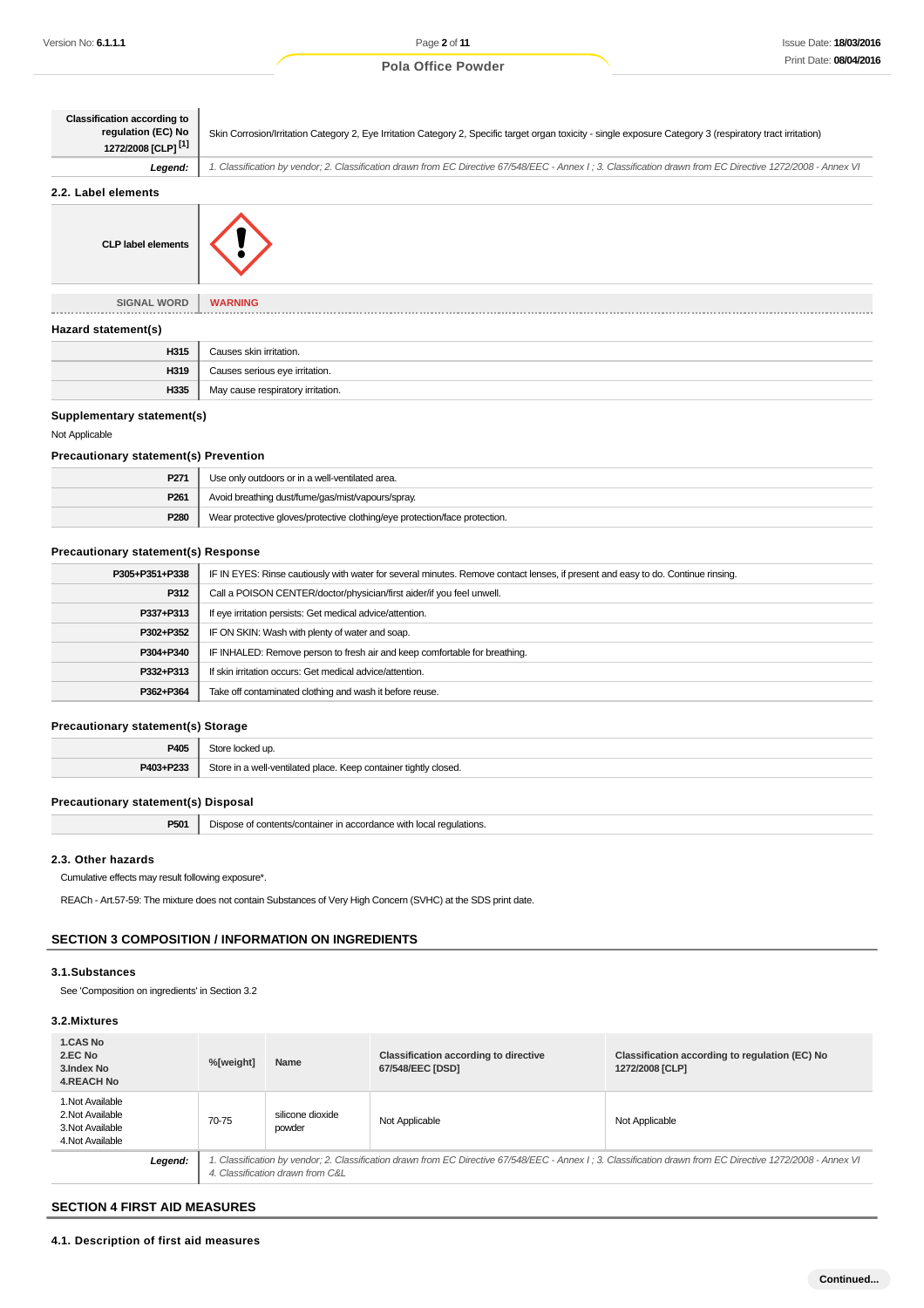| <b>Classification according to</b><br>regulation (EC) No<br>1272/2008 [CLP] <sup>[1]</sup> | Skin Corrosion/Irritation Category 2, Eye Irritation Category 2, Specific target organ toxicity - single exposure Category 3 (respiratory tract irritation) |  |  |  |
|--------------------------------------------------------------------------------------------|-------------------------------------------------------------------------------------------------------------------------------------------------------------|--|--|--|
| Legend:                                                                                    | 1. Classification by vendor; 2. Classification drawn from EC Directive 67/548/EEC - Annex I; 3. Classification drawn from EC Directive 1272/2008 - Annex VI |  |  |  |
| 2.2. Label elements                                                                        |                                                                                                                                                             |  |  |  |
| <b>CLP label elements</b>                                                                  |                                                                                                                                                             |  |  |  |
| <b>SIGNAL WORD</b>                                                                         | <b>WARNING</b>                                                                                                                                              |  |  |  |
| Hazard statement(s)                                                                        |                                                                                                                                                             |  |  |  |
| H315                                                                                       | Causes skin irritation.                                                                                                                                     |  |  |  |

# **Supplementary statement(s)**

#### Not Applicable

#### **Precautionary statement(s) Prevention**

**H319** Causes serious eye irritation. **H335** May cause respiratory irritation.

| P271             | Use only outdoors or in a well-ventilated area.                            |  |
|------------------|----------------------------------------------------------------------------|--|
| P <sub>261</sub> | Avoid breathing dust/fume/gas/mist/vapours/spray.                          |  |
| P280             | Wear protective gloves/protective clothing/eye protection/face protection. |  |

# **Precautionary statement(s) Response**

| P305+P351+P338 | IF IN EYES: Rinse cautiously with water for several minutes. Remove contact lenses, if present and easy to do. Continue rinsing. |  |  |
|----------------|----------------------------------------------------------------------------------------------------------------------------------|--|--|
| P312           | Call a POISON CENTER/doctor/physician/first aider/if you feel unwell.                                                            |  |  |
| P337+P313      | If eye irritation persists: Get medical advice/attention.                                                                        |  |  |
| P302+P352      | IF ON SKIN: Wash with plenty of water and soap.                                                                                  |  |  |
| P304+P340      | IF INHALED: Remove person to fresh air and keep comfortable for breathing.                                                       |  |  |
| P332+P313      | If skin irritation occurs: Get medical advice/attention.                                                                         |  |  |
| P362+P364      | Take off contaminated clothing and wash it before reuse.                                                                         |  |  |
|                |                                                                                                                                  |  |  |

# **Precautionary statement(s) Storage**

| P405              | `+~`                                                         |  |
|-------------------|--------------------------------------------------------------|--|
| <b>D409. D222</b> | $C+_{\mathbf{C}}$<br>tightly closed.<br>$+$ $-$<br>⊆∩∩r<br>. |  |

#### **Precautionary statement(s) Disposal**

| P501 | Dispose of contents/container in accordance with local regulations. |
|------|---------------------------------------------------------------------|
|------|---------------------------------------------------------------------|

## **2.3. Other hazards**

Cumulative effects may result following exposure\*.

REACh - Art.57-59: The mixture does not contain Substances of Very High Concern (SVHC) at the SDS print date.

# **SECTION 3 COMPOSITION / INFORMATION ON INGREDIENTS**

## **3.1.Substances**

See 'Composition on ingredients' in Section 3.2

# **3.2.Mixtures**

| <b>1.CAS No</b><br>2.EC No<br>3. Index No<br><b>4.REACH No</b>               | %[weight] | Name                                                                                                                                                                                            | <b>Classification according to directive</b><br>67/548/EEC [DSD] | Classification according to regulation (EC) No<br>1272/2008 [CLP] |
|------------------------------------------------------------------------------|-----------|-------------------------------------------------------------------------------------------------------------------------------------------------------------------------------------------------|------------------------------------------------------------------|-------------------------------------------------------------------|
| 1. Not Available<br>2. Not Available<br>3. Not Available<br>4. Not Available | 70-75     | silicone dioxide<br>powder                                                                                                                                                                      | Not Applicable                                                   | Not Applicable                                                    |
| Legend:                                                                      |           | 1. Classification by vendor; 2. Classification drawn from EC Directive 67/548/EEC - Annex I; 3. Classification drawn from EC Directive 1272/2008 - Annex VI<br>4. Classification drawn from C&L |                                                                  |                                                                   |

#### **SECTION 4 FIRST AID MEASURES**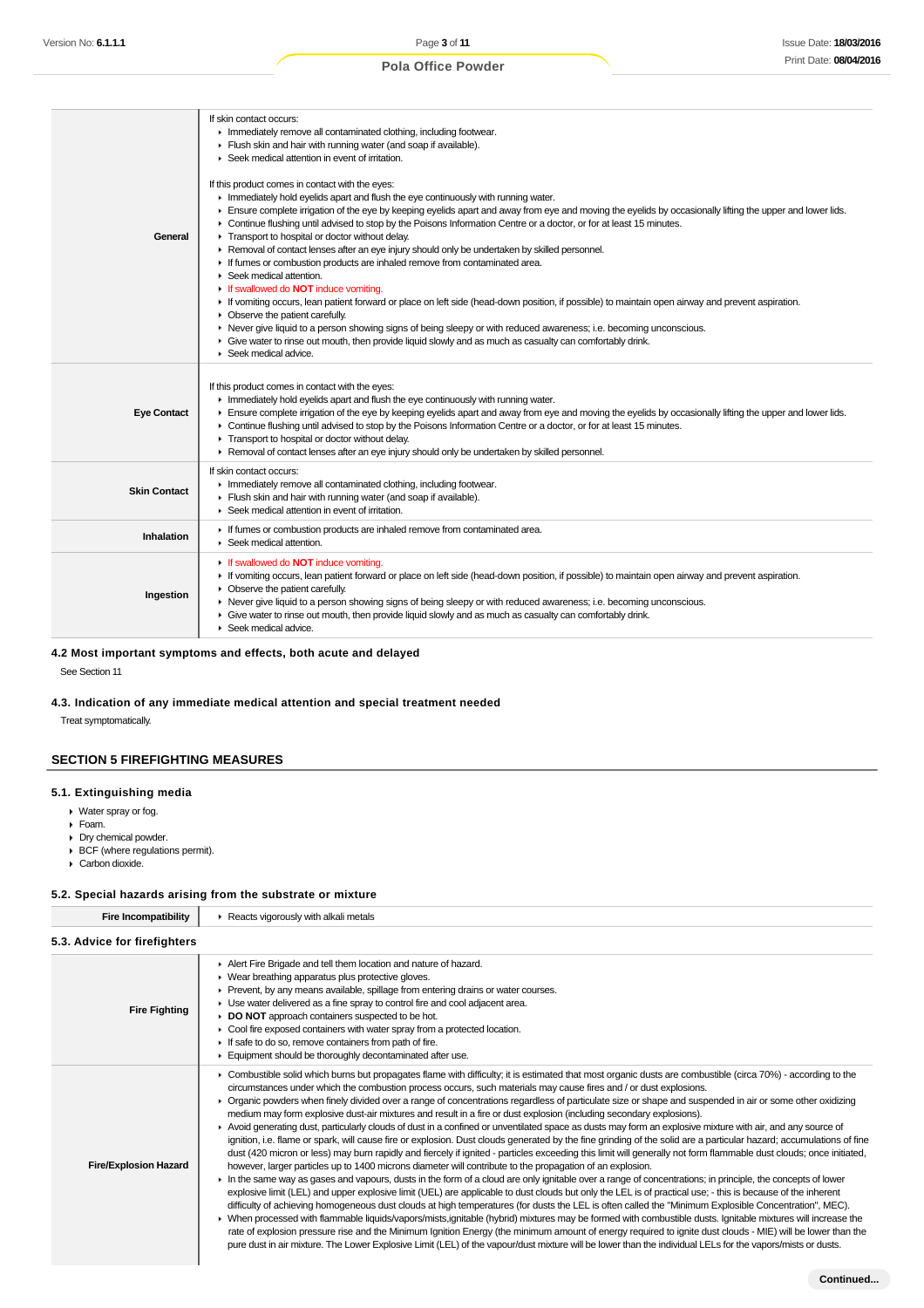| General             | If skin contact occurs:<br>Inmediately remove all contaminated clothing, including footwear.<br>Flush skin and hair with running water (and soap if available).<br>Seek medical attention in event of irritation.<br>If this product comes in contact with the eyes:<br>Inmediately hold eyelids apart and flush the eye continuously with running water.<br>Ensure complete irrigation of the eye by keeping eyelids apart and away from eye and moving the eyelids by occasionally lifting the upper and lower lids.<br>• Continue flushing until advised to stop by the Poisons Information Centre or a doctor, or for at least 15 minutes.<br>Transport to hospital or doctor without delay.<br>▶ Removal of contact lenses after an eye injury should only be undertaken by skilled personnel.<br>If fumes or combustion products are inhaled remove from contaminated area.<br>$\triangleright$ Seek medical attention.<br>If swallowed do NOT induce vomiting.<br>If vomiting occurs, lean patient forward or place on left side (head-down position, if possible) to maintain open airway and prevent aspiration.<br>$\triangleright$ Observe the patient carefully.<br>▶ Never give liquid to a person showing signs of being sleepy or with reduced awareness; i.e. becoming unconscious.<br>Give water to rinse out mouth, then provide liquid slowly and as much as casualty can comfortably drink.<br>$\triangleright$ Seek medical advice. |
|---------------------|----------------------------------------------------------------------------------------------------------------------------------------------------------------------------------------------------------------------------------------------------------------------------------------------------------------------------------------------------------------------------------------------------------------------------------------------------------------------------------------------------------------------------------------------------------------------------------------------------------------------------------------------------------------------------------------------------------------------------------------------------------------------------------------------------------------------------------------------------------------------------------------------------------------------------------------------------------------------------------------------------------------------------------------------------------------------------------------------------------------------------------------------------------------------------------------------------------------------------------------------------------------------------------------------------------------------------------------------------------------------------------------------------------------------------------------------------------|
| <b>Eye Contact</b>  | If this product comes in contact with the eyes:<br>Inmediately hold eyelids apart and flush the eye continuously with running water.<br>Ensure complete irrigation of the eye by keeping eyelids apart and away from eye and moving the eyelids by occasionally lifting the upper and lower lids.<br>► Continue flushing until advised to stop by the Poisons Information Centre or a doctor, or for at least 15 minutes.<br>Transport to hospital or doctor without delay.<br>► Removal of contact lenses after an eye injury should only be undertaken by skilled personnel.                                                                                                                                                                                                                                                                                                                                                                                                                                                                                                                                                                                                                                                                                                                                                                                                                                                                           |
| <b>Skin Contact</b> | If skin contact occurs:<br>Inmediately remove all contaminated clothing, including footwear.<br>Flush skin and hair with running water (and soap if available).<br>▶ Seek medical attention in event of irritation.                                                                                                                                                                                                                                                                                                                                                                                                                                                                                                                                                                                                                                                                                                                                                                                                                                                                                                                                                                                                                                                                                                                                                                                                                                      |
| Inhalation          | If fumes or combustion products are inhaled remove from contaminated area.<br>Seek medical attention.                                                                                                                                                                                                                                                                                                                                                                                                                                                                                                                                                                                                                                                                                                                                                                                                                                                                                                                                                                                                                                                                                                                                                                                                                                                                                                                                                    |
| Ingestion           | If swallowed do NOT induce vomiting.<br>If vomiting occurs, lean patient forward or place on left side (head-down position, if possible) to maintain open airway and prevent aspiration.<br>• Observe the patient carefully.<br>► Never give liquid to a person showing signs of being sleepy or with reduced awareness; i.e. becoming unconscious.<br>• Give water to rinse out mouth, then provide liquid slowly and as much as casualty can comfortably drink.<br>$\blacktriangleright$ Seek medical advice.                                                                                                                                                                                                                                                                                                                                                                                                                                                                                                                                                                                                                                                                                                                                                                                                                                                                                                                                          |

# **4.2 Most important symptoms and effects, both acute and delayed**

See Section 11

# **4.3. Indication of any immediate medical attention and special treatment needed**

Treat symptomatically.

# **SECTION 5 FIREFIGHTING MEASURES**

#### **5.1. Extinguishing media**

- Water spray or fog.
- Foam.
- **Dry chemical powder.**
- BCF (where regulations permit).
- Carbon dioxide.

#### **5.2. Special hazards arising from the substrate or mixture**

| <b>Fire Incompatibility</b>  | Reacts vigorously with alkali metals                                                                                                                                                                                                                                                                                                                                                                                                                                                                                                                                                                                                                                                                                                                                                                                                                                                                                                                                                                                                                                                                                                                                                                                                                                                                                                                                                                                                                                                                                                                                                                                                                                                                                                                                                                                                                                                                                                                                                                                                                                                                                                                                            |
|------------------------------|---------------------------------------------------------------------------------------------------------------------------------------------------------------------------------------------------------------------------------------------------------------------------------------------------------------------------------------------------------------------------------------------------------------------------------------------------------------------------------------------------------------------------------------------------------------------------------------------------------------------------------------------------------------------------------------------------------------------------------------------------------------------------------------------------------------------------------------------------------------------------------------------------------------------------------------------------------------------------------------------------------------------------------------------------------------------------------------------------------------------------------------------------------------------------------------------------------------------------------------------------------------------------------------------------------------------------------------------------------------------------------------------------------------------------------------------------------------------------------------------------------------------------------------------------------------------------------------------------------------------------------------------------------------------------------------------------------------------------------------------------------------------------------------------------------------------------------------------------------------------------------------------------------------------------------------------------------------------------------------------------------------------------------------------------------------------------------------------------------------------------------------------------------------------------------|
| 5.3. Advice for firefighters |                                                                                                                                                                                                                                                                                                                                                                                                                                                                                                                                                                                                                                                                                                                                                                                                                                                                                                                                                                                                                                                                                                                                                                                                                                                                                                                                                                                                                                                                                                                                                                                                                                                                                                                                                                                                                                                                                                                                                                                                                                                                                                                                                                                 |
| <b>Fire Fighting</b>         | Alert Fire Brigade and tell them location and nature of hazard.<br>▶ Wear breathing apparatus plus protective gloves.<br>▶ Prevent, by any means available, spillage from entering drains or water courses.<br>► Use water delivered as a fine spray to control fire and cool adjacent area.<br>DO NOT approach containers suspected to be hot.<br>• Cool fire exposed containers with water spray from a protected location.<br>If safe to do so, remove containers from path of fire.<br>Equipment should be thoroughly decontaminated after use.                                                                                                                                                                                                                                                                                                                                                                                                                                                                                                                                                                                                                                                                                                                                                                                                                                                                                                                                                                                                                                                                                                                                                                                                                                                                                                                                                                                                                                                                                                                                                                                                                             |
| <b>Fire/Explosion Hazard</b> | ► Combustible solid which burns but propagates flame with difficulty; it is estimated that most organic dusts are combustible (circa 70%) - according to the<br>circumstances under which the combustion process occurs, such materials may cause fires and / or dust explosions.<br>▶ Organic powders when finely divided over a range of concentrations regardless of particulate size or shape and suspended in air or some other oxidizing<br>medium may form explosive dust-air mixtures and result in a fire or dust explosion (including secondary explosions).<br>▶ Avoid generating dust, particularly clouds of dust in a confined or unventilated space as dusts may form an explosive mixture with air, and any source of<br>ignition, i.e. flame or spark, will cause fire or explosion. Dust clouds generated by the fine grinding of the solid are a particular hazard; accumulations of fine<br>dust (420 micron or less) may burn rapidly and fiercely if ignited - particles exceeding this limit will generally not form flammable dust clouds; once initiated,<br>however, larger particles up to 1400 microns diameter will contribute to the propagation of an explosion.<br>In the same way as gases and vapours, dusts in the form of a cloud are only ignitable over a range of concentrations; in principle, the concepts of lower<br>explosive limit (LEL) and upper explosive limit (UEL) are applicable to dust clouds but only the LEL is of practical use; - this is because of the inherent<br>difficulty of achieving homogeneous dust clouds at high temperatures (for dusts the LEL is often called the "Minimum Explosible Concentration", MEC).<br>▶ When processed with flammable liquids/vapors/mists,ignitable (hybrid) mixtures may be formed with combustible dusts. Ignitable mixtures will increase the<br>rate of explosion pressure rise and the Minimum Ignition Energy (the minimum amount of energy required to ignite dust clouds - MIE) will be lower than the<br>pure dust in air mixture. The Lower Explosive Limit (LEL) of the vapour/dust mixture will be lower than the individual LELs for the vapors/mists or dusts. |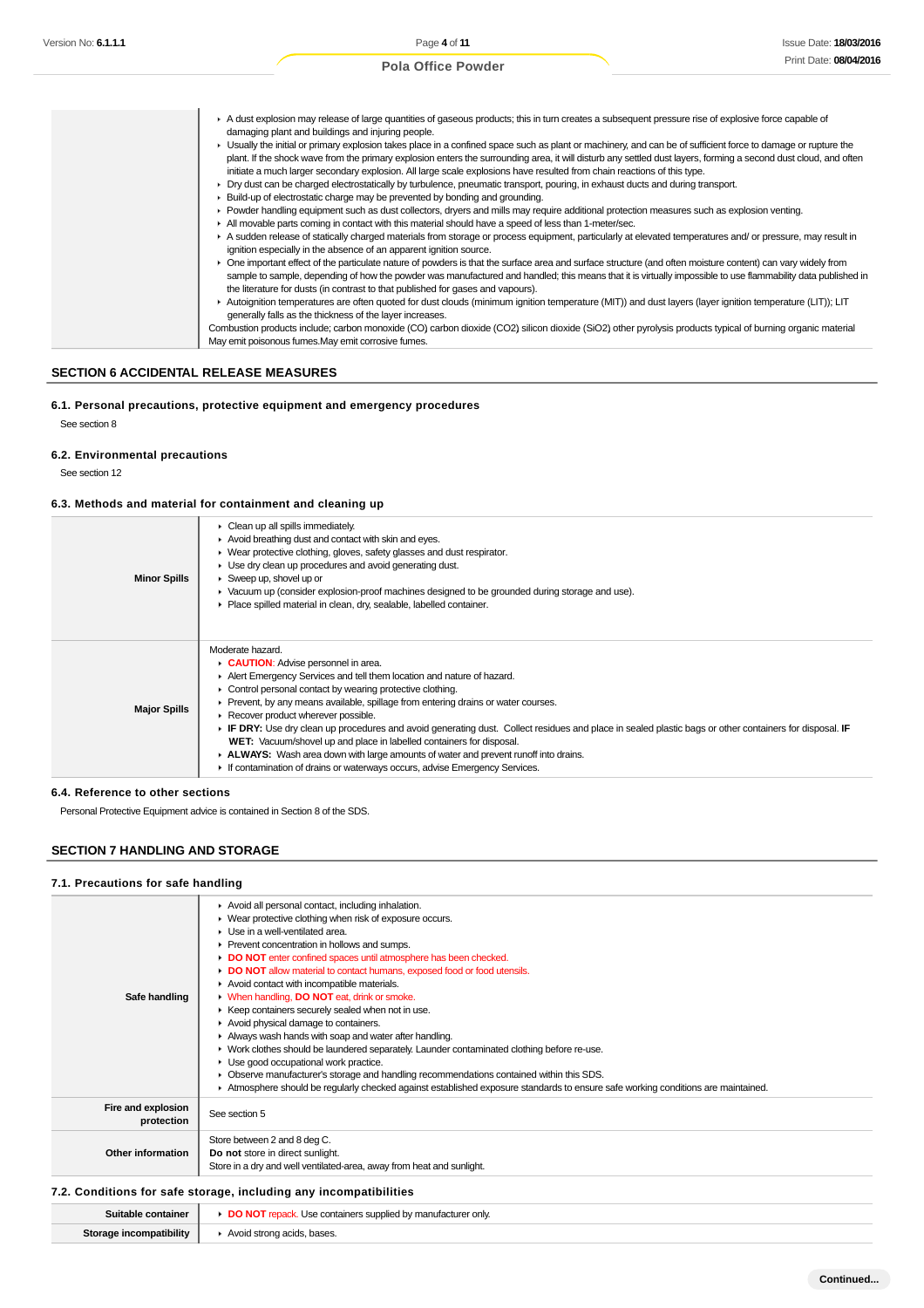| ▶ Usually the initial or primary explosion takes place in a confined space such as plant or machinery, and can be of sufficient force to damage or rupture the<br>plant. If the shock wave from the primary explosion enters the surrounding area, it will disturb any settled dust layers, forming a second dust cloud, and often<br>initiate a much larger secondary explosion. All large scale explosions have resulted from chain reactions of this type.<br>► Dry dust can be charged electrostatically by turbulence, pneumatic transport, pouring, in exhaust ducts and during transport.<br>► Build-up of electrostatic charge may be prevented by bonding and grounding.<br>▶ Powder handling equipment such as dust collectors, dryers and mills may require additional protection measures such as explosion venting.<br>All movable parts coming in contact with this material should have a speed of less than 1-meter/sec.<br>A sudden release of statically charged materials from storage or process equipment, particularly at elevated temperatures and/or pressure, may result in<br>ignition especially in the absence of an apparent ignition source.<br>► One important effect of the particulate nature of powders is that the surface area and surface structure (and often moisture content) can vary widely from<br>the literature for dusts (in contrast to that published for gases and vapours). | A dust explosion may release of large quantities of gaseous products; this in turn creates a subsequent pressure rise of explosive force capable of<br>damaging plant and buildings and injuring people. |
|-------------------------------------------------------------------------------------------------------------------------------------------------------------------------------------------------------------------------------------------------------------------------------------------------------------------------------------------------------------------------------------------------------------------------------------------------------------------------------------------------------------------------------------------------------------------------------------------------------------------------------------------------------------------------------------------------------------------------------------------------------------------------------------------------------------------------------------------------------------------------------------------------------------------------------------------------------------------------------------------------------------------------------------------------------------------------------------------------------------------------------------------------------------------------------------------------------------------------------------------------------------------------------------------------------------------------------------------------------------------------------------------------------------------------------|----------------------------------------------------------------------------------------------------------------------------------------------------------------------------------------------------------|
|                                                                                                                                                                                                                                                                                                                                                                                                                                                                                                                                                                                                                                                                                                                                                                                                                                                                                                                                                                                                                                                                                                                                                                                                                                                                                                                                                                                                                               |                                                                                                                                                                                                          |
| sample to sample, depending of how the powder was manufactured and handled; this means that it is virtually impossible to use flammability data published in                                                                                                                                                                                                                                                                                                                                                                                                                                                                                                                                                                                                                                                                                                                                                                                                                                                                                                                                                                                                                                                                                                                                                                                                                                                                  |                                                                                                                                                                                                          |
|                                                                                                                                                                                                                                                                                                                                                                                                                                                                                                                                                                                                                                                                                                                                                                                                                                                                                                                                                                                                                                                                                                                                                                                                                                                                                                                                                                                                                               |                                                                                                                                                                                                          |
|                                                                                                                                                                                                                                                                                                                                                                                                                                                                                                                                                                                                                                                                                                                                                                                                                                                                                                                                                                                                                                                                                                                                                                                                                                                                                                                                                                                                                               |                                                                                                                                                                                                          |
|                                                                                                                                                                                                                                                                                                                                                                                                                                                                                                                                                                                                                                                                                                                                                                                                                                                                                                                                                                                                                                                                                                                                                                                                                                                                                                                                                                                                                               |                                                                                                                                                                                                          |
| Autoignition temperatures are often quoted for dust clouds (minimum ignition temperature (MIT)) and dust layers (layer ignition temperature (LIT)); LIT<br>generally falls as the thickness of the layer increases.                                                                                                                                                                                                                                                                                                                                                                                                                                                                                                                                                                                                                                                                                                                                                                                                                                                                                                                                                                                                                                                                                                                                                                                                           |                                                                                                                                                                                                          |
| Combustion products include; carbon monoxide (CO) carbon dioxide (CO2) silicon dioxide (SiO2) other pyrolysis products typical of burning organic material<br>May emit poisonous fumes. May emit corrosive fumes.                                                                                                                                                                                                                                                                                                                                                                                                                                                                                                                                                                                                                                                                                                                                                                                                                                                                                                                                                                                                                                                                                                                                                                                                             |                                                                                                                                                                                                          |

# **SECTION 6 ACCIDENTAL RELEASE MEASURES**

# **6.1. Personal precautions, protective equipment and emergency procedures**

See section 8

# **6.2. Environmental precautions**

See section 12

# **6.3. Methods and material for containment and cleaning up**

| <b>Minor Spills</b> | $\triangleright$ Clean up all spills immediately.<br>Avoid breathing dust and contact with skin and eyes.<br>▶ Wear protective clothing, gloves, safety glasses and dust respirator.<br>▶ Use dry clean up procedures and avoid generating dust.<br>$\triangleright$ Sweep up, shovel up or<br>► Vacuum up (consider explosion-proof machines designed to be grounded during storage and use).<br>Place spilled material in clean, dry, sealable, labelled container.                                                                                                                                                                                                                                                              |
|---------------------|------------------------------------------------------------------------------------------------------------------------------------------------------------------------------------------------------------------------------------------------------------------------------------------------------------------------------------------------------------------------------------------------------------------------------------------------------------------------------------------------------------------------------------------------------------------------------------------------------------------------------------------------------------------------------------------------------------------------------------|
| <b>Major Spills</b> | Moderate hazard.<br>CAUTION: Advise personnel in area.<br>Alert Emergency Services and tell them location and nature of hazard.<br>• Control personal contact by wearing protective clothing.<br>► Prevent, by any means available, spillage from entering drains or water courses.<br>Recover product wherever possible.<br>► IF DRY: Use dry clean up procedures and avoid generating dust. Collect residues and place in sealed plastic bags or other containers for disposal. IF<br>WET: Vacuum/shovel up and place in labelled containers for disposal.<br>► ALWAYS: Wash area down with large amounts of water and prevent runoff into drains.<br>If contamination of drains or waterways occurs, advise Emergency Services. |

**6.4. Reference to other sections**

Personal Protective Equipment advice is contained in Section 8 of the SDS.

**Storage incompatibility**  $\parallel$  **F** Avoid strong acids, bases.

# **SECTION 7 HANDLING AND STORAGE**

#### **7.1. Precautions for safe handling**

| Safe handling                    | Avoid all personal contact, including inhalation.<br>• Wear protective clothing when risk of exposure occurs.<br>$\blacktriangleright$ Use in a well-ventilated area.<br>▶ Prevent concentration in hollows and sumps.<br>DO NOT enter confined spaces until atmosphere has been checked.<br>• DO NOT allow material to contact humans, exposed food or food utensils.<br>Avoid contact with incompatible materials.<br>• When handling, DO NOT eat, drink or smoke.<br>▶ Keep containers securely sealed when not in use.<br>Avoid physical damage to containers.<br>Always wash hands with soap and water after handling.<br>► Work clothes should be laundered separately. Launder contaminated clothing before re-use.<br>Use good occupational work practice.<br>Observe manufacturer's storage and handling recommendations contained within this SDS.<br>Atmosphere should be regularly checked against established exposure standards to ensure safe working conditions are maintained. |
|----------------------------------|-------------------------------------------------------------------------------------------------------------------------------------------------------------------------------------------------------------------------------------------------------------------------------------------------------------------------------------------------------------------------------------------------------------------------------------------------------------------------------------------------------------------------------------------------------------------------------------------------------------------------------------------------------------------------------------------------------------------------------------------------------------------------------------------------------------------------------------------------------------------------------------------------------------------------------------------------------------------------------------------------|
| Fire and explosion<br>protection | See section 5                                                                                                                                                                                                                                                                                                                                                                                                                                                                                                                                                                                                                                                                                                                                                                                                                                                                                                                                                                                   |
| Other information                | Store between 2 and 8 deg C.<br>Do not store in direct sunlight.<br>Store in a dry and well ventilated-area, away from heat and sunlight.                                                                                                                                                                                                                                                                                                                                                                                                                                                                                                                                                                                                                                                                                                                                                                                                                                                       |
|                                  | 7.2. Conditions for safe storage, including any incompatibilities                                                                                                                                                                                                                                                                                                                                                                                                                                                                                                                                                                                                                                                                                                                                                                                                                                                                                                                               |
| Suitable container               | DO NOT repack. Use containers supplied by manufacturer only                                                                                                                                                                                                                                                                                                                                                                                                                                                                                                                                                                                                                                                                                                                                                                                                                                                                                                                                     |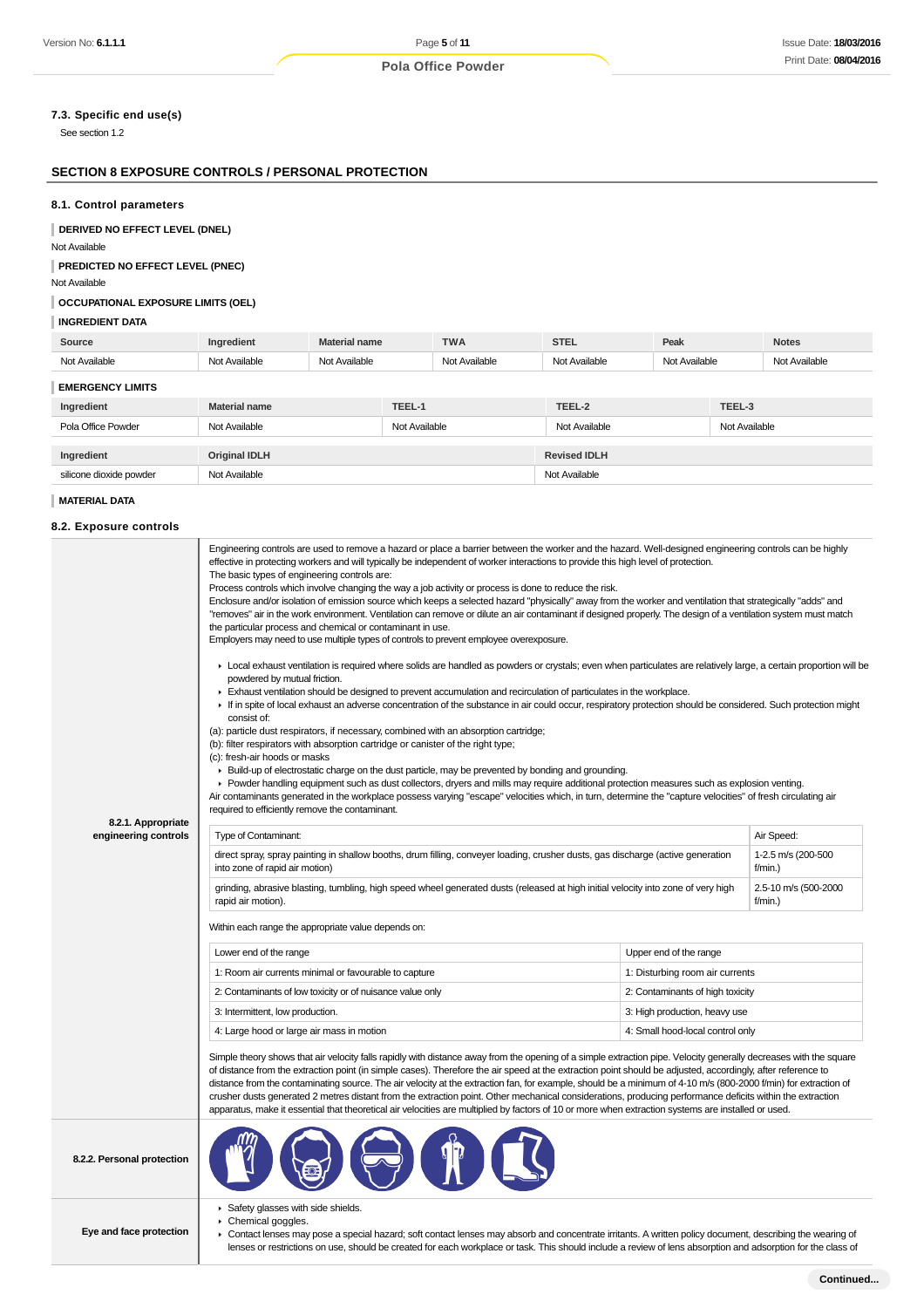# **7.3. Specific end use(s)**

See section 1.2

# **SECTION 8 EXPOSURE CONTROLS / PERSONAL PROTECTION**

#### **8.1. Control parameters**

**DERIVED NO EFFECT LEVEL (DNEL)**

Not Available

**PREDICTED NO EFFECT LEVEL (PNEC)**

Not Available

# **OCCUPATIONAL EXPOSURE LIMITS (OEL)**

#### **INGREDIENT DATA**

| Source                  | Ingredient           | <b>Material name</b> | <b>TWA</b>    | <b>STEL</b>         | Peak          |               | <b>Notes</b>  |
|-------------------------|----------------------|----------------------|---------------|---------------------|---------------|---------------|---------------|
| Not Available           | Not Available        | Not Available        | Not Available | Not Available       | Not Available |               | Not Available |
| <b>EMERGENCY LIMITS</b> |                      |                      |               |                     |               |               |               |
| Ingredient              | Material name        | TEEL-1               |               | TEEL-2              |               | TEEL-3        |               |
| Pola Office Powder      | Not Available        |                      | Not Available | Not Available       |               | Not Available |               |
|                         |                      |                      |               |                     |               |               |               |
| Ingredient              | <b>Original IDLH</b> |                      |               | <b>Revised IDLH</b> |               |               |               |

silicone dioxide powder Not Available Not Available Not Available Not Available

## **MATERIAL DATA**

#### **8.2. Exposure controls**

|                                            | Engineering controls are used to remove a hazard or place a barrier between the worker and the hazard. Well-designed engineering controls can be highly<br>effective in protecting workers and will typically be independent of worker interactions to provide this high level of protection.<br>The basic types of engineering controls are:<br>Process controls which involve changing the way a job activity or process is done to reduce the risk.<br>Enclosure and/or isolation of emission source which keeps a selected hazard "physically" away from the worker and ventilation that strategically "adds" and<br>"removes" air in the work environment. Ventilation can remove or dilute an air contaminant if designed properly. The design of a ventilation system must match<br>the particular process and chemical or contaminant in use.<br>Employers may need to use multiple types of controls to prevent employee overexposure.<br>► Local exhaust ventilation is required where solids are handled as powders or crystals; even when particulates are relatively large, a certain proportion will be<br>powdered by mutual friction.<br>Exhaust ventilation should be designed to prevent accumulation and recirculation of particulates in the workplace.<br>If in spite of local exhaust an adverse concentration of the substance in air could occur, respiratory protection should be considered. Such protection might<br>consist of:<br>(a): particle dust respirators, if necessary, combined with an absorption cartridge;<br>(b): filter respirators with absorption cartridge or canister of the right type;<br>(c): fresh-air hoods or masks<br>► Build-up of electrostatic charge on the dust particle, may be prevented by bonding and grounding.<br>▶ Powder handling equipment such as dust collectors, dryers and mills may require additional protection measures such as explosion venting. |                                  |                               |  |
|--------------------------------------------|--------------------------------------------------------------------------------------------------------------------------------------------------------------------------------------------------------------------------------------------------------------------------------------------------------------------------------------------------------------------------------------------------------------------------------------------------------------------------------------------------------------------------------------------------------------------------------------------------------------------------------------------------------------------------------------------------------------------------------------------------------------------------------------------------------------------------------------------------------------------------------------------------------------------------------------------------------------------------------------------------------------------------------------------------------------------------------------------------------------------------------------------------------------------------------------------------------------------------------------------------------------------------------------------------------------------------------------------------------------------------------------------------------------------------------------------------------------------------------------------------------------------------------------------------------------------------------------------------------------------------------------------------------------------------------------------------------------------------------------------------------------------------------------------------------------------------------------------------------------------------------------------------------------------------------|----------------------------------|-------------------------------|--|
|                                            | Air contaminants generated in the workplace possess varying "escape" velocities which, in turn, determine the "capture velocities" of fresh circulating air<br>required to efficiently remove the contaminant.                                                                                                                                                                                                                                                                                                                                                                                                                                                                                                                                                                                                                                                                                                                                                                                                                                                                                                                                                                                                                                                                                                                                                                                                                                                                                                                                                                                                                                                                                                                                                                                                                                                                                                                 |                                  |                               |  |
| 8.2.1. Appropriate<br>engineering controls | Type of Contaminant:                                                                                                                                                                                                                                                                                                                                                                                                                                                                                                                                                                                                                                                                                                                                                                                                                                                                                                                                                                                                                                                                                                                                                                                                                                                                                                                                                                                                                                                                                                                                                                                                                                                                                                                                                                                                                                                                                                           |                                  | Air Speed:                    |  |
|                                            | direct spray, spray painting in shallow booths, drum filling, conveyer loading, crusher dusts, gas discharge (active generation<br>into zone of rapid air motion)                                                                                                                                                                                                                                                                                                                                                                                                                                                                                                                                                                                                                                                                                                                                                                                                                                                                                                                                                                                                                                                                                                                                                                                                                                                                                                                                                                                                                                                                                                                                                                                                                                                                                                                                                              |                                  | 1-2.5 m/s (200-500<br>f/min.) |  |
|                                            | grinding, abrasive blasting, tumbling, high speed wheel generated dusts (released at high initial velocity into zone of very high<br>2.5-10 m/s (500-2000<br>rapid air motion).<br>$f/min.$ )                                                                                                                                                                                                                                                                                                                                                                                                                                                                                                                                                                                                                                                                                                                                                                                                                                                                                                                                                                                                                                                                                                                                                                                                                                                                                                                                                                                                                                                                                                                                                                                                                                                                                                                                  |                                  |                               |  |
|                                            | Within each range the appropriate value depends on:                                                                                                                                                                                                                                                                                                                                                                                                                                                                                                                                                                                                                                                                                                                                                                                                                                                                                                                                                                                                                                                                                                                                                                                                                                                                                                                                                                                                                                                                                                                                                                                                                                                                                                                                                                                                                                                                            |                                  |                               |  |
|                                            | Lower end of the range                                                                                                                                                                                                                                                                                                                                                                                                                                                                                                                                                                                                                                                                                                                                                                                                                                                                                                                                                                                                                                                                                                                                                                                                                                                                                                                                                                                                                                                                                                                                                                                                                                                                                                                                                                                                                                                                                                         | Upper end of the range           |                               |  |
|                                            | 1: Room air currents minimal or favourable to capture                                                                                                                                                                                                                                                                                                                                                                                                                                                                                                                                                                                                                                                                                                                                                                                                                                                                                                                                                                                                                                                                                                                                                                                                                                                                                                                                                                                                                                                                                                                                                                                                                                                                                                                                                                                                                                                                          | 1: Disturbing room air currents  |                               |  |
|                                            | 2: Contaminants of low toxicity or of nuisance value only                                                                                                                                                                                                                                                                                                                                                                                                                                                                                                                                                                                                                                                                                                                                                                                                                                                                                                                                                                                                                                                                                                                                                                                                                                                                                                                                                                                                                                                                                                                                                                                                                                                                                                                                                                                                                                                                      | 2: Contaminants of high toxicity |                               |  |
|                                            | 3: Intermittent, low production.                                                                                                                                                                                                                                                                                                                                                                                                                                                                                                                                                                                                                                                                                                                                                                                                                                                                                                                                                                                                                                                                                                                                                                                                                                                                                                                                                                                                                                                                                                                                                                                                                                                                                                                                                                                                                                                                                               | 3: High production, heavy use    |                               |  |
|                                            | 4: Large hood or large air mass in motion<br>4: Small hood-local control only                                                                                                                                                                                                                                                                                                                                                                                                                                                                                                                                                                                                                                                                                                                                                                                                                                                                                                                                                                                                                                                                                                                                                                                                                                                                                                                                                                                                                                                                                                                                                                                                                                                                                                                                                                                                                                                  |                                  |                               |  |
|                                            | Simple theory shows that air velocity falls rapidly with distance away from the opening of a simple extraction pipe. Velocity generally decreases with the square<br>of distance from the extraction point (in simple cases). Therefore the air speed at the extraction point should be adjusted, accordingly, after reference to<br>distance from the contaminating source. The air velocity at the extraction fan, for example, should be a minimum of 4-10 m/s (800-2000 f/min) for extraction of<br>crusher dusts generated 2 metres distant from the extraction point. Other mechanical considerations, producing performance deficits within the extraction<br>apparatus, make it essential that theoretical air velocities are multiplied by factors of 10 or more when extraction systems are installed or used.                                                                                                                                                                                                                                                                                                                                                                                                                                                                                                                                                                                                                                                                                                                                                                                                                                                                                                                                                                                                                                                                                                       |                                  |                               |  |
| 8.2.2. Personal protection                 |                                                                                                                                                                                                                                                                                                                                                                                                                                                                                                                                                                                                                                                                                                                                                                                                                                                                                                                                                                                                                                                                                                                                                                                                                                                                                                                                                                                                                                                                                                                                                                                                                                                                                                                                                                                                                                                                                                                                |                                  |                               |  |
|                                            | Safety glasses with side shields.<br>Chemical goggles.                                                                                                                                                                                                                                                                                                                                                                                                                                                                                                                                                                                                                                                                                                                                                                                                                                                                                                                                                                                                                                                                                                                                                                                                                                                                                                                                                                                                                                                                                                                                                                                                                                                                                                                                                                                                                                                                         |                                  |                               |  |

**Eye and face protection**

Contact lenses may pose a special hazard; soft contact lenses may absorb and concentrate irritants. A written policy document, describing the wearing of lenses or restrictions on use, should be created for each workplace or task. This should include a review of lens absorption and adsorption for the class of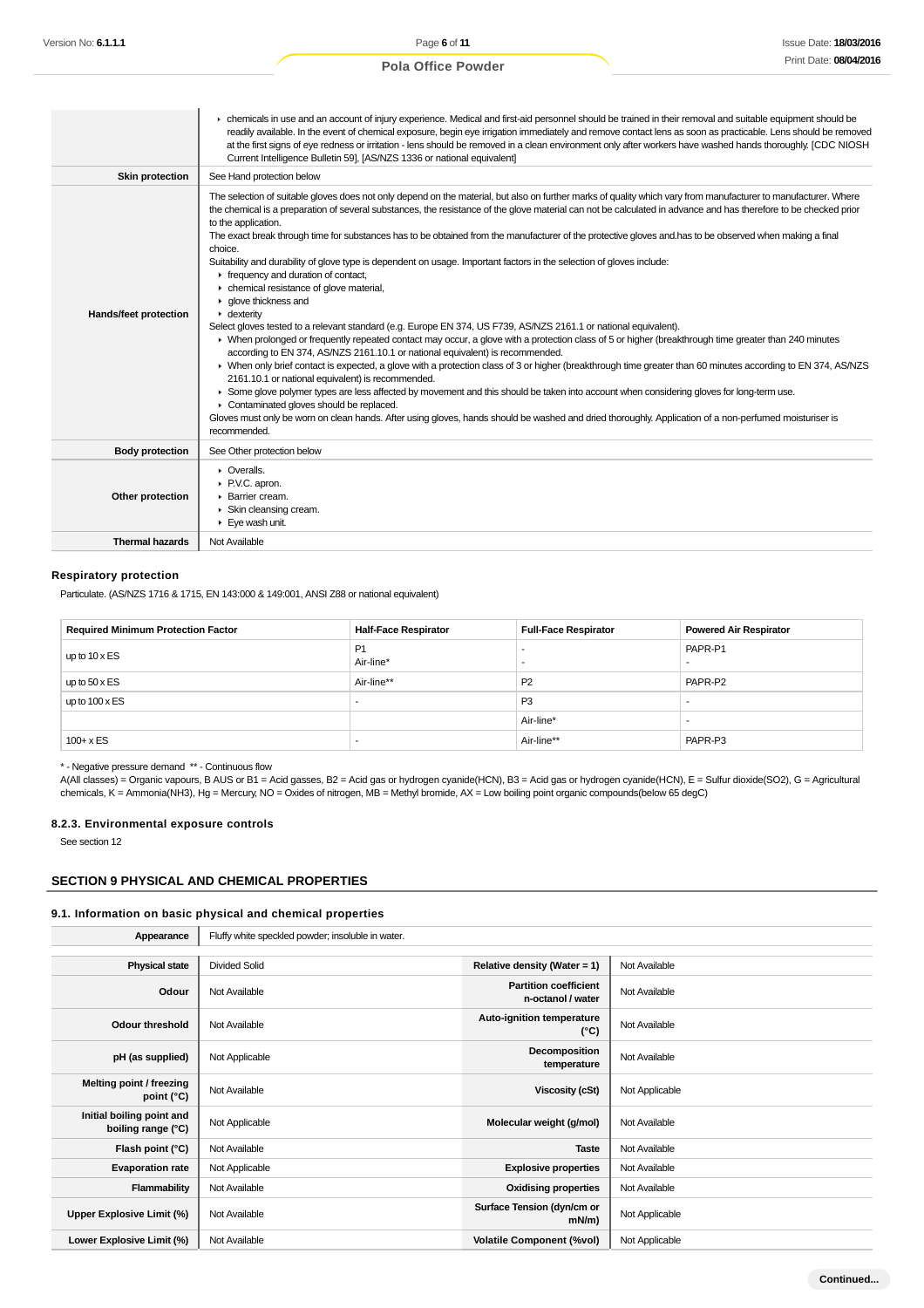$\mathbb{L}$ 

# **Pola Office Powder**

|                        | • chemicals in use and an account of injury experience. Medical and first-aid personnel should be trained in their removal and suitable equipment should be<br>readily available. In the event of chemical exposure, begin eye irrigation immediately and remove contact lens as soon as practicable. Lens should be removed<br>at the first signs of eye redness or irritation - lens should be removed in a clean environment only after workers have washed hands thoroughly. [CDC NIOSH<br>Current Intelligence Bulletin 59], [AS/NZS 1336 or national equivalent]                                                                                                                                                                                                                                                                                                                                                                                                                                                                                                                                                                                                                                                                                                                                                                                                                                                                                                                                                                                                                                                                                                                                                                                               |
|------------------------|----------------------------------------------------------------------------------------------------------------------------------------------------------------------------------------------------------------------------------------------------------------------------------------------------------------------------------------------------------------------------------------------------------------------------------------------------------------------------------------------------------------------------------------------------------------------------------------------------------------------------------------------------------------------------------------------------------------------------------------------------------------------------------------------------------------------------------------------------------------------------------------------------------------------------------------------------------------------------------------------------------------------------------------------------------------------------------------------------------------------------------------------------------------------------------------------------------------------------------------------------------------------------------------------------------------------------------------------------------------------------------------------------------------------------------------------------------------------------------------------------------------------------------------------------------------------------------------------------------------------------------------------------------------------------------------------------------------------------------------------------------------------|
| <b>Skin protection</b> | See Hand protection below                                                                                                                                                                                                                                                                                                                                                                                                                                                                                                                                                                                                                                                                                                                                                                                                                                                                                                                                                                                                                                                                                                                                                                                                                                                                                                                                                                                                                                                                                                                                                                                                                                                                                                                                            |
| Hands/feet protection  | The selection of suitable gloves does not only depend on the material, but also on further marks of quality which vary from manufacturer to manufacturer. Where<br>the chemical is a preparation of several substances, the resistance of the glove material can not be calculated in advance and has therefore to be checked prior<br>to the application.<br>The exact break through time for substances has to be obtained from the manufacturer of the protective gloves and has to be observed when making a final<br>choice.<br>Suitability and durability of glove type is dependent on usage. Important factors in the selection of gloves include:<br>Firequency and duration of contact,<br>• chemical resistance of glove material,<br>$\blacktriangleright$ glove thickness and<br>$\cdot$ dexterity<br>Select gloves tested to a relevant standard (e.g. Europe EN 374, US F739, AS/NZS 2161.1 or national equivalent).<br>> When prolonged or frequently repeated contact may occur, a glove with a protection class of 5 or higher (breakthrough time greater than 240 minutes<br>according to EN 374, AS/NZS 2161.10.1 or national equivalent) is recommended.<br>> When only brief contact is expected, a glove with a protection class of 3 or higher (breakthrough time greater than 60 minutes according to EN 374, AS/NZS<br>2161.10.1 or national equivalent) is recommended.<br>> Some glove polymer types are less affected by movement and this should be taken into account when considering gloves for long-term use.<br>Contaminated gloves should be replaced.<br>Gloves must only be worn on clean hands. After using gloves, hands should be washed and dried thoroughly. Application of a non-perfumed moisturiser is<br>recommended. |
| <b>Body protection</b> | See Other protection below                                                                                                                                                                                                                                                                                                                                                                                                                                                                                                                                                                                                                                                                                                                                                                                                                                                                                                                                                                                                                                                                                                                                                                                                                                                                                                                                                                                                                                                                                                                                                                                                                                                                                                                                           |
| Other protection       | • Overalls.<br>P.V.C. apron.<br>Barrier cream.<br>▶ Skin cleansing cream.<br>Eye wash unit.                                                                                                                                                                                                                                                                                                                                                                                                                                                                                                                                                                                                                                                                                                                                                                                                                                                                                                                                                                                                                                                                                                                                                                                                                                                                                                                                                                                                                                                                                                                                                                                                                                                                          |
| <b>Thermal hazards</b> | Not Available                                                                                                                                                                                                                                                                                                                                                                                                                                                                                                                                                                                                                                                                                                                                                                                                                                                                                                                                                                                                                                                                                                                                                                                                                                                                                                                                                                                                                                                                                                                                                                                                                                                                                                                                                        |

# **Respiratory protection**

Particulate. (AS/NZS 1716 & 1715, EN 143:000 & 149:001, ANSI Z88 or national equivalent)

| <b>Required Minimum Protection Factor</b> | <b>Half-Face Respirator</b> | <b>Full-Face Respirator</b> | <b>Powered Air Respirator</b> |
|-------------------------------------------|-----------------------------|-----------------------------|-------------------------------|
| up to $10 \times ES$                      | <b>P1</b><br>Air-line*      | $\overline{\phantom{a}}$    | PAPR-P1                       |
| up to $50 \times ES$                      | Air-line**                  | P <sub>2</sub>              | PAPR-P2                       |
| up to $100 \times ES$                     |                             | P <sub>3</sub>              |                               |
|                                           |                             | Air-line*                   |                               |
| $100 + x ES$                              | -                           | Air-line**                  | PAPR-P3                       |

\* - Negative pressure demand \*\* - Continuous flow

A(All classes) = Organic vapours, B AUS or B1 = Acid gasses, B2 = Acid gas or hydrogen cyanide(HCN), B3 = Acid gas or hydrogen cyanide(HCN), E = Sulfur dioxide(SO2), G = Agricultural chemicals, K = Ammonia(NH3), Hg = Mercury, NO = Oxides of nitrogen, MB = Methyl bromide, AX = Low boiling point organic compounds(below 65 degC)

#### **8.2.3. Environmental exposure controls**

See section 12

## **SECTION 9 PHYSICAL AND CHEMICAL PROPERTIES**

#### **9.1. Information on basic physical and chemical properties**

| Appearance                                      | Fluffy white speckled powder; insoluble in water. |                                                   |                |
|-------------------------------------------------|---------------------------------------------------|---------------------------------------------------|----------------|
|                                                 |                                                   |                                                   |                |
| <b>Physical state</b>                           | <b>Divided Solid</b>                              | Relative density (Water = 1)                      | Not Available  |
| Odour                                           | Not Available                                     | <b>Partition coefficient</b><br>n-octanol / water | Not Available  |
| Odour threshold                                 | Not Available                                     | Auto-ignition temperature<br>$(^{\circ}C)$        | Not Available  |
| pH (as supplied)                                | Not Applicable                                    | Decomposition<br>temperature                      | Not Available  |
| Melting point / freezing<br>point (°C)          | Not Available                                     | Viscosity (cSt)                                   | Not Applicable |
| Initial boiling point and<br>boiling range (°C) | Not Applicable                                    | Molecular weight (g/mol)                          | Not Available  |
| Flash point (°C)                                | Not Available                                     | <b>Taste</b>                                      | Not Available  |
| <b>Evaporation rate</b>                         | Not Applicable                                    | <b>Explosive properties</b>                       | Not Available  |
| Flammability                                    | Not Available                                     | <b>Oxidising properties</b>                       | Not Available  |
| Upper Explosive Limit (%)                       | Not Available                                     | Surface Tension (dyn/cm or<br>$mN/m$ )            | Not Applicable |
| Lower Explosive Limit (%)                       | Not Available                                     | <b>Volatile Component (%vol)</b>                  | Not Applicable |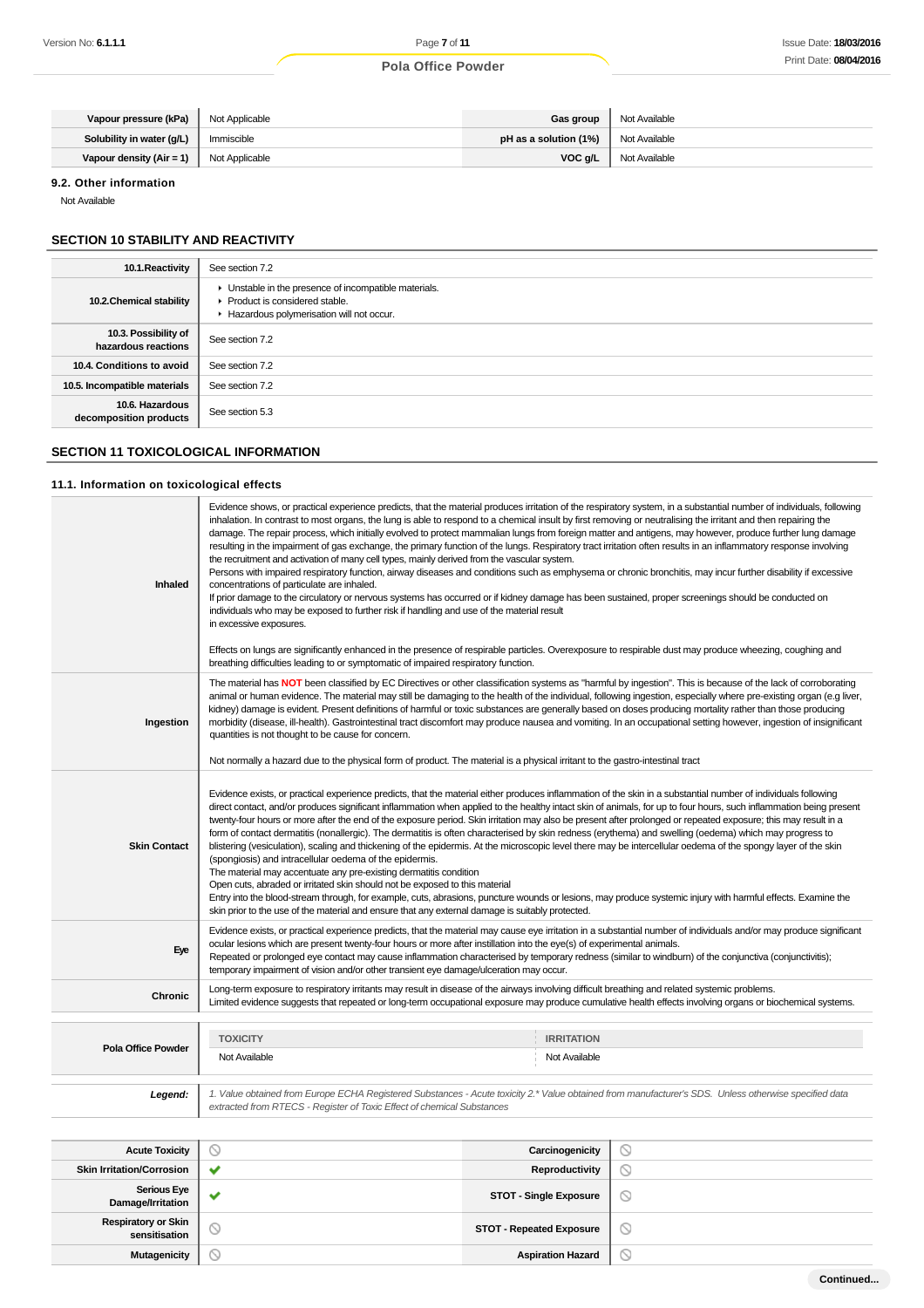| Vapour pressure (kPa)        | Not Applicable | Gas group             | Not Available |
|------------------------------|----------------|-----------------------|---------------|
| Solubility in water (g/L)    | Immiscible     | pH as a solution (1%) | Not Available |
| Vapour density ( $Air = 1$ ) | Not Applicable | VOC a/L               | Not Available |

#### **9.2. Other information**

Not Available

# **SECTION 10 STABILITY AND REACTIVITY**

| 10.1. Reactivity                            | See section 7.2                                                                                                                      |
|---------------------------------------------|--------------------------------------------------------------------------------------------------------------------------------------|
| 10.2. Chemical stability                    | • Unstable in the presence of incompatible materials.<br>▶ Product is considered stable.<br>Hazardous polymerisation will not occur. |
| 10.3. Possibility of<br>hazardous reactions | See section 7.2                                                                                                                      |
| 10.4. Conditions to avoid                   | See section 7.2                                                                                                                      |
| 10.5. Incompatible materials                | See section 7.2                                                                                                                      |
| 10.6. Hazardous<br>decomposition products   | See section 5.3                                                                                                                      |

# **SECTION 11 TOXICOLOGICAL INFORMATION**

# **11.1. Information on toxicological effects**

| Inhaled                                     | Evidence shows, or practical experience predicts, that the material produces irritation of the respiratory system, in a substantial number of individuals, following<br>inhalation. In contrast to most organs, the lung is able to respond to a chemical insult by first removing or neutralising the irritant and then repairing the<br>damage. The repair process, which initially evolved to protect mammalian lungs from foreign matter and antigens, may however, produce further lung damage<br>resulting in the impairment of gas exchange, the primary function of the lungs. Respiratory tract irritation often results in an inflammatory response involving<br>the recruitment and activation of many cell types, mainly derived from the vascular system.<br>Persons with impaired respiratory function, airway diseases and conditions such as emphysema or chronic bronchitis, may incur further disability if excessive<br>concentrations of particulate are inhaled.<br>If prior damage to the circulatory or nervous systems has occurred or if kidney damage has been sustained, proper screenings should be conducted on<br>individuals who may be exposed to further risk if handling and use of the material result<br>in excessive exposures.                                                  |                          |   |  |  |
|---------------------------------------------|-----------------------------------------------------------------------------------------------------------------------------------------------------------------------------------------------------------------------------------------------------------------------------------------------------------------------------------------------------------------------------------------------------------------------------------------------------------------------------------------------------------------------------------------------------------------------------------------------------------------------------------------------------------------------------------------------------------------------------------------------------------------------------------------------------------------------------------------------------------------------------------------------------------------------------------------------------------------------------------------------------------------------------------------------------------------------------------------------------------------------------------------------------------------------------------------------------------------------------------------------------------------------------------------------------------------------|--------------------------|---|--|--|
|                                             | Effects on lungs are significantly enhanced in the presence of respirable particles. Overexposure to respirable dust may produce wheezing, coughing and<br>breathing difficulties leading to or symptomatic of impaired respiratory function.                                                                                                                                                                                                                                                                                                                                                                                                                                                                                                                                                                                                                                                                                                                                                                                                                                                                                                                                                                                                                                                                         |                          |   |  |  |
| Ingestion                                   | The material has NOT been classified by EC Directives or other classification systems as "harmful by ingestion". This is because of the lack of corroborating<br>animal or human evidence. The material may still be damaging to the health of the individual, following ingestion, especially where pre-existing organ (e.g liver,<br>kidney) damage is evident. Present definitions of harmful or toxic substances are generally based on doses producing mortality rather than those producing<br>morbidity (disease, ill-health). Gastrointestinal tract discomfort may produce nausea and vomiting. In an occupational setting however, ingestion of insignificant<br>quantities is not thought to be cause for concern.                                                                                                                                                                                                                                                                                                                                                                                                                                                                                                                                                                                         |                          |   |  |  |
|                                             | Not normally a hazard due to the physical form of product. The material is a physical irritant to the gastro-intestinal tract                                                                                                                                                                                                                                                                                                                                                                                                                                                                                                                                                                                                                                                                                                                                                                                                                                                                                                                                                                                                                                                                                                                                                                                         |                          |   |  |  |
| <b>Skin Contact</b>                         | Evidence exists, or practical experience predicts, that the material either produces inflammation of the skin in a substantial number of individuals following<br>direct contact, and/or produces significant inflammation when applied to the healthy intact skin of animals, for up to four hours, such inflammation being present<br>twenty-four hours or more after the end of the exposure period. Skin irritation may also be present after prolonged or repeated exposure; this may result in a<br>form of contact dermatitis (nonallergic). The dermatitis is often characterised by skin redness (erythema) and swelling (oedema) which may progress to<br>blistering (vesiculation), scaling and thickening of the epidermis. At the microscopic level there may be intercellular oedema of the spongy layer of the skin<br>(spongiosis) and intracellular oedema of the epidermis.<br>The material may accentuate any pre-existing dermatitis condition<br>Open cuts, abraded or irritated skin should not be exposed to this material<br>Entry into the blood-stream through, for example, cuts, abrasions, puncture wounds or lesions, may produce systemic injury with harmful effects. Examine the<br>skin prior to the use of the material and ensure that any external damage is suitably protected. |                          |   |  |  |
| Eye                                         | Evidence exists, or practical experience predicts, that the material may cause eye irritation in a substantial number of individuals and/or may produce significant<br>ocular lesions which are present twenty-four hours or more after instillation into the eye(s) of experimental animals.<br>Repeated or prolonged eye contact may cause inflammation characterised by temporary redness (similar to windburn) of the conjunctiva (conjunctivitis);<br>temporary impairment of vision and/or other transient eye damage/ulceration may occur.                                                                                                                                                                                                                                                                                                                                                                                                                                                                                                                                                                                                                                                                                                                                                                     |                          |   |  |  |
| Chronic                                     | Long-term exposure to respiratory irritants may result in disease of the airways involving difficult breathing and related systemic problems.<br>Limited evidence suggests that repeated or long-term occupational exposure may produce cumulative health effects involving organs or biochemical systems.                                                                                                                                                                                                                                                                                                                                                                                                                                                                                                                                                                                                                                                                                                                                                                                                                                                                                                                                                                                                            |                          |   |  |  |
|                                             | <b>TOXICITY</b>                                                                                                                                                                                                                                                                                                                                                                                                                                                                                                                                                                                                                                                                                                                                                                                                                                                                                                                                                                                                                                                                                                                                                                                                                                                                                                       | <b>IRRITATION</b>        |   |  |  |
| <b>Pola Office Powder</b>                   | Not Available<br>Not Available                                                                                                                                                                                                                                                                                                                                                                                                                                                                                                                                                                                                                                                                                                                                                                                                                                                                                                                                                                                                                                                                                                                                                                                                                                                                                        |                          |   |  |  |
| Legend:                                     | 1. Value obtained from Europe ECHA Registered Substances - Acute toxicity 2.* Value obtained from manufacturer's SDS. Unless otherwise specified data<br>extracted from RTECS - Register of Toxic Effect of chemical Substances                                                                                                                                                                                                                                                                                                                                                                                                                                                                                                                                                                                                                                                                                                                                                                                                                                                                                                                                                                                                                                                                                       |                          |   |  |  |
| <b>Acute Toxicity</b>                       | ல                                                                                                                                                                                                                                                                                                                                                                                                                                                                                                                                                                                                                                                                                                                                                                                                                                                                                                                                                                                                                                                                                                                                                                                                                                                                                                                     | Carcinogenicity          | ◎ |  |  |
| <b>Skin Irritation/Corrosion</b>            | ✔                                                                                                                                                                                                                                                                                                                                                                                                                                                                                                                                                                                                                                                                                                                                                                                                                                                                                                                                                                                                                                                                                                                                                                                                                                                                                                                     | <b>Reproductivity</b>    | ⊙ |  |  |
| <b>Serious Eye</b><br>Damage/Irritation     | ✔<br><b>STOT - Single Exposure</b><br>O                                                                                                                                                                                                                                                                                                                                                                                                                                                                                                                                                                                                                                                                                                                                                                                                                                                                                                                                                                                                                                                                                                                                                                                                                                                                               |                          |   |  |  |
| <b>Respiratory or Skin</b><br>sensitisation | O<br>∾<br><b>STOT - Repeated Exposure</b>                                                                                                                                                                                                                                                                                                                                                                                                                                                                                                                                                                                                                                                                                                                                                                                                                                                                                                                                                                                                                                                                                                                                                                                                                                                                             |                          |   |  |  |
| <b>Mutagenicity</b>                         | Q                                                                                                                                                                                                                                                                                                                                                                                                                                                                                                                                                                                                                                                                                                                                                                                                                                                                                                                                                                                                                                                                                                                                                                                                                                                                                                                     | <b>Aspiration Hazard</b> | O |  |  |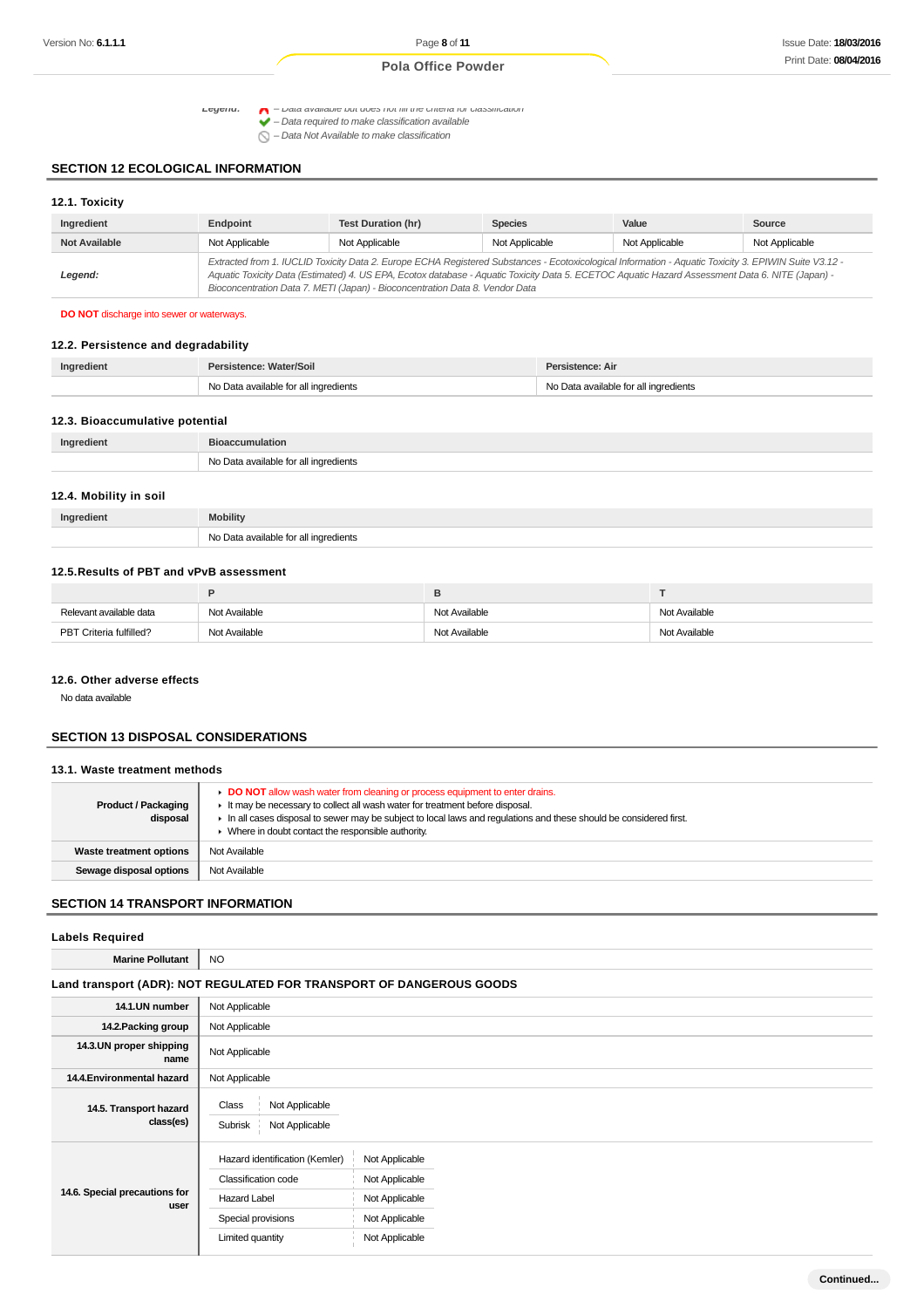Legena:  $\Box$  – Data available but does not fill the criteria for classification **available** 

 $\bigcirc$  – Data Not Available to make classification

# **SECTION 12 ECOLOGICAL INFORMATION**

| 12.1. Toxicity       |                |                                                                                                                                                                                                                                                                                                                                                                                          |                |                |                |
|----------------------|----------------|------------------------------------------------------------------------------------------------------------------------------------------------------------------------------------------------------------------------------------------------------------------------------------------------------------------------------------------------------------------------------------------|----------------|----------------|----------------|
| Ingredient           | Endpoint       | Test Duration (hr)                                                                                                                                                                                                                                                                                                                                                                       | <b>Species</b> | Value          | Source         |
| <b>Not Available</b> | Not Applicable | Not Applicable                                                                                                                                                                                                                                                                                                                                                                           | Not Applicable | Not Applicable | Not Applicable |
| Legend:              |                | Extracted from 1. IUCLID Toxicity Data 2. Europe ECHA Registered Substances - Ecotoxicological Information - Aquatic Toxicity 3. EPIWIN Suite V3.12 -<br>Aquatic Toxicity Data (Estimated) 4. US EPA, Ecotox database - Aquatic Toxicity Data 5. ECETOC Aquatic Hazard Assessment Data 6. NITE (Japan) -<br>Bioconcentration Data 7. METI (Japan) - Bioconcentration Data 8. Vendor Data |                |                |                |

# **DO NOT** discharge into sewer or waterways.

# **12.2. Persistence and degradability**

| Ingredient | <b>Persistence: Water/Soil</b>        | Persistence: Air                   |
|------------|---------------------------------------|------------------------------------|
|            | No Data available for all ingredients | Data available for all ingredients |

# **12.3. Bioaccumulative potential**

| Ingredient | <b>Bioaccumulation</b>                                               |
|------------|----------------------------------------------------------------------|
|            | <b>N<sub>IO</sub></b><br>vailable for all ingredients<br>$\sim$<br>. |

#### **12.4. Mobility in soil**

| Ingredient | <b>Mobility</b>                       |
|------------|---------------------------------------|
|            | No Data available for all ingredients |

## **12.5.Results of PBT and vPvB assessment**

|                         | Е             |               |               |
|-------------------------|---------------|---------------|---------------|
| Relevant available data | Not Available | Not Available | Not Available |
| PBT Criteria fulfilled? | Not Available | Not Available | Not Available |

#### **12.6. Other adverse effects**

No data available

#### **SECTION 13 DISPOSAL CONSIDERATIONS**

#### **13.1. Waste treatment methods**

| <b>Product / Packaging</b><br>disposal | DO NOT allow wash water from cleaning or process equipment to enter drains.<br>It may be necessary to collect all wash water for treatment before disposal.<br>In all cases disposal to sewer may be subject to local laws and requlations and these should be considered first.<br>Where in doubt contact the responsible authority. |
|----------------------------------------|---------------------------------------------------------------------------------------------------------------------------------------------------------------------------------------------------------------------------------------------------------------------------------------------------------------------------------------|
| <b>Waste treatment options</b>         | Not Available                                                                                                                                                                                                                                                                                                                         |
| Sewage disposal options                | Not Available                                                                                                                                                                                                                                                                                                                         |

# **SECTION 14 TRANSPORT INFORMATION**

٦

#### **Labels Required**

| <b>Marine Pollutant</b>               | <b>NO</b>                                                                                                              |                                                                                        |
|---------------------------------------|------------------------------------------------------------------------------------------------------------------------|----------------------------------------------------------------------------------------|
|                                       |                                                                                                                        | Land transport (ADR): NOT REGULATED FOR TRANSPORT OF DANGEROUS GOODS                   |
| 14.1.UN number                        | Not Applicable                                                                                                         |                                                                                        |
| 14.2. Packing group                   | Not Applicable                                                                                                         |                                                                                        |
| 14.3.UN proper shipping<br>name       | Not Applicable                                                                                                         |                                                                                        |
| 14.4. Environmental hazard            | Not Applicable                                                                                                         |                                                                                        |
| 14.5. Transport hazard<br>class(es)   | Not Applicable<br>Class<br>Subrisk<br>Not Applicable                                                                   |                                                                                        |
| 14.6. Special precautions for<br>user | Hazard identification (Kemler)<br>Classification code<br><b>Hazard Label</b><br>Special provisions<br>Limited quantity | Not Applicable<br>Not Applicable<br>Not Applicable<br>Not Applicable<br>Not Applicable |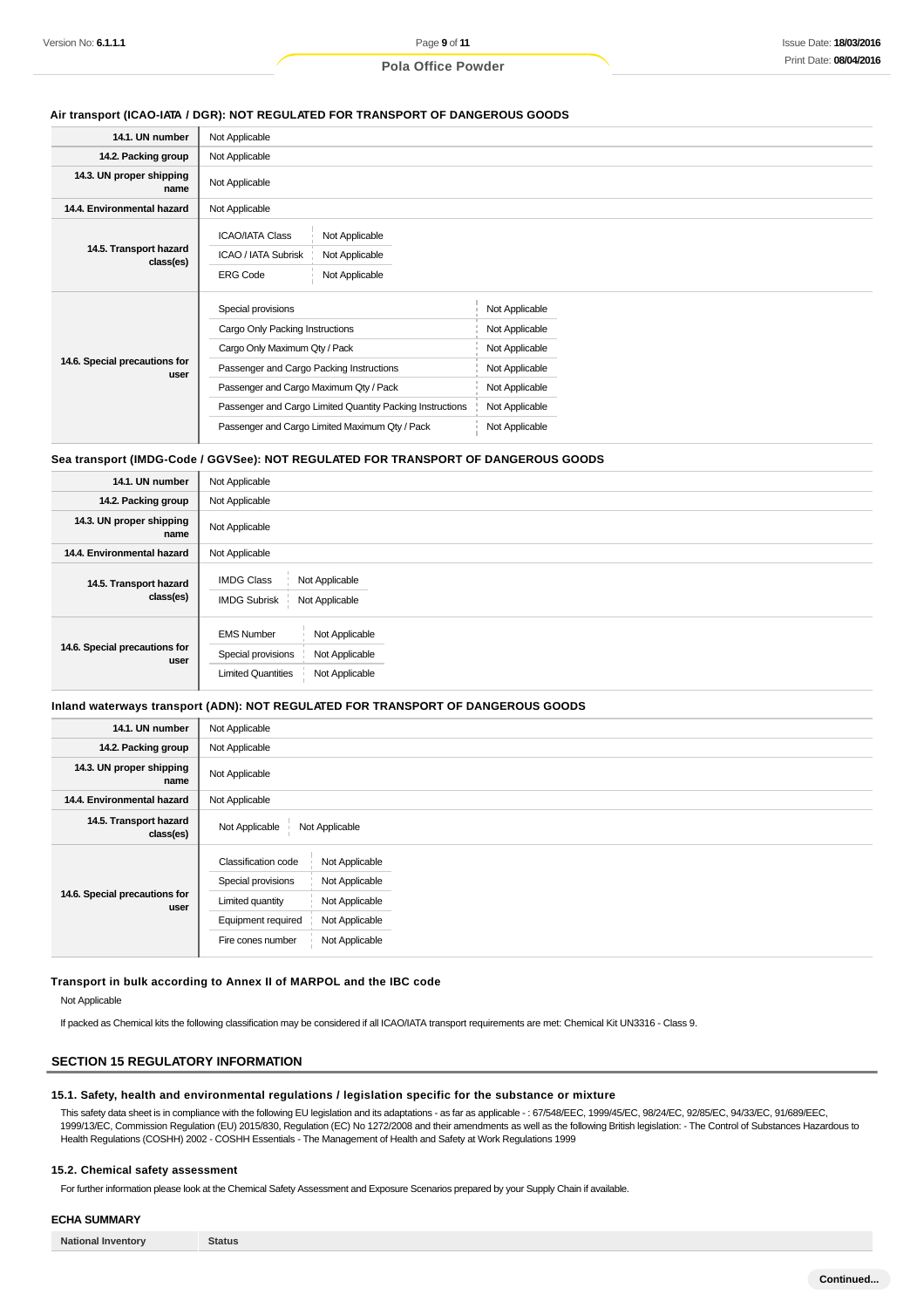#### **Air transport (ICAO-IATA / DGR): NOT REGULATED FOR TRANSPORT OF DANGEROUS GOODS**

| 14.1. UN number                       | Not Applicable                                                                                                         |                |  |
|---------------------------------------|------------------------------------------------------------------------------------------------------------------------|----------------|--|
| 14.2. Packing group                   | Not Applicable                                                                                                         |                |  |
| 14.3. UN proper shipping<br>name      | Not Applicable                                                                                                         |                |  |
| 14.4. Environmental hazard            | Not Applicable                                                                                                         |                |  |
| 14.5. Transport hazard<br>class(es)   | <b>ICAO/IATA Class</b><br>Not Applicable<br>ICAO / IATA Subrisk<br>Not Applicable<br>Not Applicable<br><b>ERG Code</b> |                |  |
|                                       | Special provisions                                                                                                     | Not Applicable |  |
|                                       | Cargo Only Packing Instructions                                                                                        | Not Applicable |  |
|                                       | Cargo Only Maximum Qty / Pack                                                                                          | Not Applicable |  |
| 14.6. Special precautions for<br>user | Passenger and Cargo Packing Instructions                                                                               | Not Applicable |  |
|                                       | Passenger and Cargo Maximum Qty / Pack                                                                                 | Not Applicable |  |
|                                       | Passenger and Cargo Limited Quantity Packing Instructions                                                              | Not Applicable |  |
|                                       | Passenger and Cargo Limited Maximum Qty / Pack                                                                         | Not Applicable |  |
|                                       |                                                                                                                        |                |  |

#### **Sea transport (IMDG-Code / GGVSee): NOT REGULATED FOR TRANSPORT OF DANGEROUS GOODS**

| 14.1. UN number                       | Not Applicable                                                                                                             |
|---------------------------------------|----------------------------------------------------------------------------------------------------------------------------|
| 14.2. Packing group                   | Not Applicable                                                                                                             |
| 14.3. UN proper shipping<br>name      | Not Applicable                                                                                                             |
| 14.4. Environmental hazard            | Not Applicable                                                                                                             |
| 14.5. Transport hazard<br>class(es)   | <b>IMDG Class</b><br>Not Applicable<br><b>IMDG Subrisk</b><br>Not Applicable                                               |
| 14.6. Special precautions for<br>user | Not Applicable<br><b>EMS Number</b><br>Special provisions<br>Not Applicable<br>Not Applicable<br><b>Limited Quantities</b> |

#### **Inland waterways transport (ADN): NOT REGULATED FOR TRANSPORT OF DANGEROUS GOODS**

| 14.1. UN number                       | Not Applicable                                                                                                                                                                                            |  |  |
|---------------------------------------|-----------------------------------------------------------------------------------------------------------------------------------------------------------------------------------------------------------|--|--|
| 14.2. Packing group                   | Not Applicable                                                                                                                                                                                            |  |  |
| 14.3. UN proper shipping<br>name      | Not Applicable                                                                                                                                                                                            |  |  |
| 14.4. Environmental hazard            | Not Applicable                                                                                                                                                                                            |  |  |
| 14.5. Transport hazard<br>class(es)   | Not Applicable<br>Not Applicable                                                                                                                                                                          |  |  |
| 14.6. Special precautions for<br>user | <b>Classification code</b><br>Not Applicable<br>Special provisions<br>Not Applicable<br>Not Applicable<br>Limited quantity<br>Equipment required<br>Not Applicable<br>Not Applicable<br>Fire cones number |  |  |

#### **Transport in bulk according to Annex II of MARPOL and the IBC code**

#### Not Applicable

If packed as Chemical kits the following classification may be considered if all ICAO/IATA transport requirements are met: Chemical Kit UN3316 - Class 9.

# **SECTION 15 REGULATORY INFORMATION**

#### **15.1. Safety, health and environmental regulations / legislation specific for the substance or mixture**

This safety data sheet is in compliance with the following EU legislation and its adaptations - as far as applicable -: 67/548/EEC, 1999/45/EC, 98/24/EC, 92/85/EC, 94/33/EC, 91/689/EEC, 1999/13/EC, Commission Regulation (EU) 2015/830, Regulation (EC) No 1272/2008 and their amendments as well as the following British legislation: - The Control of Substances Hazardous to Health Regulations (COSHH) 2002 - COSHH Essentials - The Management of Health and Safety at Work Regulations 1999

#### **15.2. Chemical safety assessment**

For further information please look at the Chemical Safety Assessment and Exposure Scenarios prepared by your Supply Chain if available.

## **ECHA SUMMARY**

**National Inventory Status**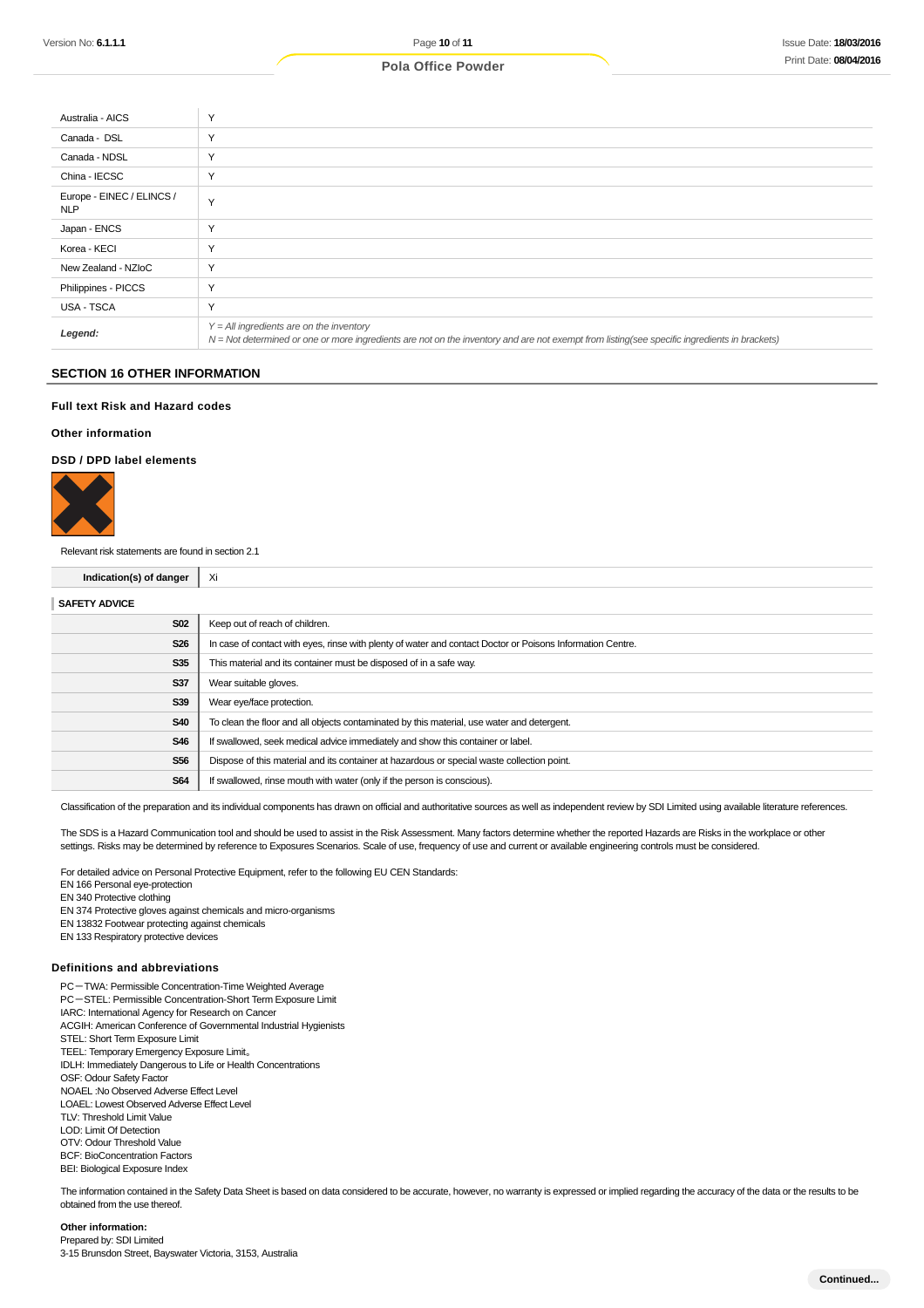| Australia - AICS                        | $\checkmark$                                                                                                                                                                               |
|-----------------------------------------|--------------------------------------------------------------------------------------------------------------------------------------------------------------------------------------------|
| Canada - DSL                            | $\sqrt{}$                                                                                                                                                                                  |
| Canada - NDSL                           | $\checkmark$                                                                                                                                                                               |
| China - IECSC                           | $\checkmark$                                                                                                                                                                               |
| Europe - EINEC / ELINCS /<br><b>NLP</b> | $\checkmark$                                                                                                                                                                               |
| Japan - ENCS                            | $\checkmark$                                                                                                                                                                               |
| Korea - KECI                            | $\checkmark$                                                                                                                                                                               |
| New Zealand - NZIoC                     | $\checkmark$                                                                                                                                                                               |
| Philippines - PICCS                     | $\checkmark$                                                                                                                                                                               |
| USA - TSCA                              | Y                                                                                                                                                                                          |
| Legend:                                 | $Y = All$ ingredients are on the inventory<br>N = Not determined or one or more ingredients are not on the inventory and are not exempt from listing(see specific ingredients in brackets) |

# **SECTION 16 OTHER INFORMATION**

## **Full text Risk and Hazard codes**

#### **Other information**

#### **DSD / DPD label elements**



Relevant risk statements are found in section 2.1

# **Indication(s) of danger** Xi

| <b>SAFETY ADVICE</b> |                                                                                                            |
|----------------------|------------------------------------------------------------------------------------------------------------|
| <b>S02</b>           | Keep out of reach of children.                                                                             |
| <b>S26</b>           | In case of contact with eyes, rinse with plenty of water and contact Doctor or Poisons Information Centre. |
| <b>S35</b>           | This material and its container must be disposed of in a safe way.                                         |
| <b>S37</b>           | Wear suitable gloves.                                                                                      |
| <b>S39</b>           | Wear eye/face protection.                                                                                  |
| <b>S40</b>           | To clean the floor and all objects contaminated by this material, use water and detergent.                 |
| S46                  | If swallowed, seek medical advice immediately and show this container or label.                            |
| <b>S56</b>           | Dispose of this material and its container at hazardous or special waste collection point.                 |
| <b>S64</b>           | If swallowed, rinse mouth with water (only if the person is conscious).                                    |
|                      |                                                                                                            |

Classification of the preparation and its individual components has drawn on official and authoritative sources as well as independent review by SDI Limited using available literature references.

The SDS is a Hazard Communication tool and should be used to assist in the Risk Assessment. Many factors determine whether the reported Hazards are Risks in the workplace or other settings. Risks may be determined by reference to Exposures Scenarios. Scale of use, frequency of use and current or available engineering controls must be considered.

For detailed advice on Personal Protective Equipment, refer to the following EU CEN Standards:

EN 166 Personal eye-protection

EN 340 Protective clothing

- EN 374 Protective gloves against chemicals and micro-organisms
- EN 13832 Footwear protecting against chemicals
- EN 133 Respiratory protective devices

#### **Definitions and abbreviations**

PC-TWA: Permissible Concentration-Time Weighted Average PC-STEL: Permissible Concentration-Short Term Exposure Limit IARC: International Agency for Research on Cancer ACGIH: American Conference of Governmental Industrial Hygienists STEL: Short Term Exposure Limit TEEL: Temporary Emergency Exposure Limit。 IDLH: Immediately Dangerous to Life or Health Concentrations OSF: Odour Safety Factor NOAEL :No Observed Adverse Effect Level LOAEL: Lowest Observed Adverse Effect Level TLV: Threshold Limit Value LOD: Limit Of Detection OTV: Odour Threshold Value BCF: BioConcentration Factors BEI: Biological Exposure Index

The information contained in the Safety Data Sheet is based on data considered to be accurate, however, no warranty is expressed or implied regarding the accuracy of the data or the results to be obtained from the use thereof.

# **Other information:**

Prepared by: SDI Limited 3-15 Brunsdon Street, Bayswater Victoria, 3153, Australia